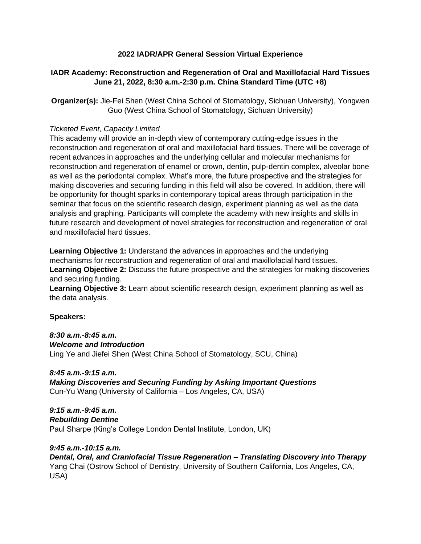# **2022 IADR/APR General Session Virtual Experience**

# **IADR Academy: Reconstruction and Regeneration of Oral and Maxillofacial Hard Tissues June 21, 2022, 8:30 a.m.-2:30 p.m. China Standard Time (UTC +8)**

**Organizer(s):** Jie-Fei Shen (West China School of Stomatology, Sichuan University), Yongwen Guo (West China School of Stomatology, Sichuan University)

#### *Ticketed Event, Capacity Limited*

This academy will provide an in-depth view of contemporary cutting-edge issues in the reconstruction and regeneration of oral and maxillofacial hard tissues. There will be coverage of recent advances in approaches and the underlying cellular and molecular mechanisms for reconstruction and regeneration of enamel or crown, dentin, pulp-dentin complex, alveolar bone as well as the periodontal complex. What's more, the future prospective and the strategies for making discoveries and securing funding in this field will also be covered. In addition, there will be opportunity for thought sparks in contemporary topical areas through participation in the seminar that focus on the scientific research design, experiment planning as well as the data analysis and graphing. Participants will complete the academy with new insights and skills in future research and development of novel strategies for reconstruction and regeneration of oral and maxillofacial hard tissues.

**Learning Objective 1:** Understand the advances in approaches and the underlying mechanisms for reconstruction and regeneration of oral and maxillofacial hard tissues. **Learning Objective 2:** Discuss the future prospective and the strategies for making discoveries and securing funding.

**Learning Objective 3:** Learn about scientific research design, experiment planning as well as the data analysis.

## **Speakers:**

*8:30 a.m.-8:45 a.m. Welcome and Introduction* Ling Ye and Jiefei Shen (West China School of Stomatology, SCU, China)

*8:45 a.m.-9:15 a.m. Making Discoveries and Securing Funding by Asking Important Questions* Cun-Yu Wang (University of California – Los Angeles, CA, USA)

*9:15 a.m.-9:45 a.m. Rebuilding Dentine* Paul Sharpe (King's College London Dental Institute, London, UK)

## *9:45 a.m.-10:15 a.m.*

*Dental, Oral, and Craniofacial Tissue Regeneration – Translating Discovery into Therapy* Yang Chai (Ostrow School of Dentistry, University of Southern California, Los Angeles, CA, USA)